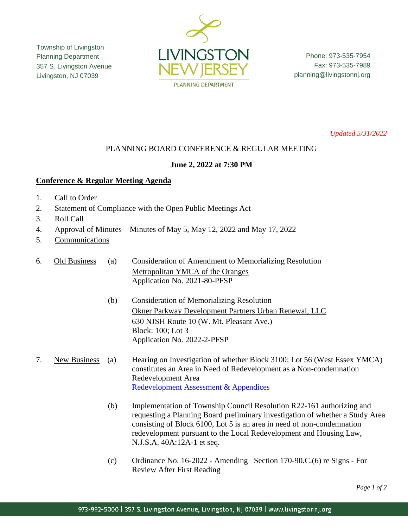Township of Livingston Planning Department 357 S. Livingston Avenue Livingston, NJ 07039



Phone: 973-535-7954 Fax: 973-535-7989 planning@livingstonnj.org

*Updated 5/31/2022*

# PLANNING BOARD CONFERENCE & REGULAR MEETING

## **June 2, 2022 at 7:30 PM**

### **Conference & Regular Meeting Agenda**

- 1. Call to Order
- 2. Statement of Compliance with the Open Public Meetings Act
- 3. Roll Call
- 4. Approval of Minutes Minutes of May 5, May 12, 2022 and May 17, 2022
- 5. Communications

6. Old Business (a) Consideration of Amendment to Memorializing Resolution Metropolitan YMCA of the Oranges Application No. 2021-80-PFSP

> (b) Consideration of Memorializing Resolution Okner Parkway Development Partners Urban Renewal, LLC 630 NJSH Route 10 (W. Mt. Pleasant Ave.) Block: 100; Lot 3 Application No. 2022-2-PFSP

### 7. New Business (a) Hearing on Investigation of whether Block 3100; Lot 56 (West Essex YMCA) constitutes an Area in Need of Redevelopment as a Non-condemnation Redevelopment Area [Redevelopment Assessment & Appendices](https://www.livingstonnj.org/DocumentCenter/View/13897/321-S-Livingston-Avenue---Redevelopment-Assessment-and-Appendices-04-2022---v4)

- (b) Implementation of Township Council Resolution R22-161 authorizing and requesting a Planning Board preliminary investigation of whether a Study Area consisting of Block 6100, Lot 5 is an area in need of non-condemnation redevelopment pursuant to the Local Redevelopment and Housing Law, N.J.S.A. 40A:12A-1 et seq.
- (c) Ordinance No. 16-2022 Amending Section 170-90.C.(6) re Signs For Review After First Reading

*Page 1 of 2*